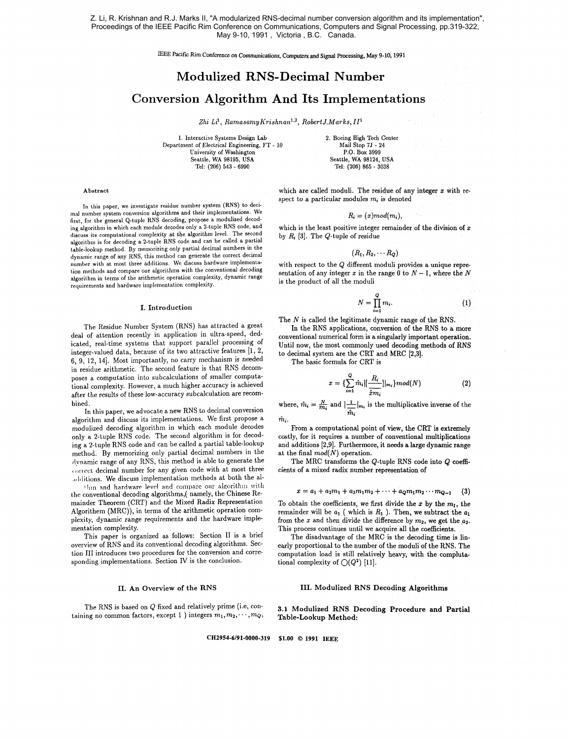IEEE Pacific Rim Conference on Communications, *Computers* **and Signal** Processing, May 9-10,1991

# Modulized RNS-Decimal Number Conversion Algorithm And Its Implementations

Zhi Li<sup>1</sup>, Ramasamy Krishnan<sup>1,2</sup>, Robert J.Marks,  $II<sup>1</sup>$ 

1. Interactive Systems Design Lab 2. Boeing High Tech Center<br>
ttment of Electrical Engineering, FT - 10 Mail Stop 7J - 24 Department of Electrical Engineering, FT - 10 Mail Stop 7J - 2<br>
University of Washington P.O. Box 3999 University of Washington<br>Seattle, WA 98195, USA Seattle, WA 98195, USA Seattle, WA 98124, USA

Tel: (206) 865 - 3038

#### Abstract

In this paper, we investigate residue number system (RNS) to deci**lnnl** number system conversion algorithms and their implementations. We first, for the general Q-tuple RNS decoding, propose a modulized decoding algorithm in which each module decodes only a 2-tuple RNS code, and discuss its computational complexity at the algorithm level. The second algorithm is for decoding a 2-tuple RNS code and can be called a partial table-lookup method. By memorizing only partial decimal numbers in the dynamic range of any RNS, this method can generate the correct decimal number with at most three additions. We discuss hardware implementation methods and compare our algorithms with the conventional decoding algorithm in terms of the arithmetic operation complexity, dynamic range requirements and hardware implementation complexity.

#### I. Introduction

The Residue Number System (RNS) has attracted a great deal of attention recently in application in ultra-speed, dedicated, real-time systems that support parallel processing of integer-valued data, because of its two attractive features [I, 2, **6,** 9, 12, 141. Most importantly, no carry mechanism is needed in residue arithmetic. The second feature is that RNS decomposes a computation into subcalculations of smaller computational complexity. However, a much higher accuracy is achieved after the results of these low-accuracy subcalculation are recombined.

In this paper, we advocate a new RNS to decimal conversion algorithm and discuss its implementations. We first propose a modulized decoding algorithm in which each module decodes only a 2-tuple RNS code. The second algorithm is for decoding a 2-tuple RNS code and can be called a partial table-lookup method. By memorizing only partial decimal numbers in the rlynamic range of any RNS, this method is able to generate the correct decimal number for any given code with at most three additions. We discuss implementation methods at both the al-

thin and hardware level and compare our algorithm with the conventional decoding algorithms,( namely, the Chinese Remainder Theorem (CRT) and the Mixed Radix Representation Algorithem (MRC)), in terms of the arithmetic operation complexity, dynamic range requirements and the hardware implementation complexity.

This paper is organized as follows: Section I1 is a brief overview of RNS and its conventional decoding algorithms. Section I11 introduces two procedures for the conversion and corresponding implementations. Section IV is the conclusion.

taining no common factors, except 1 ) integers  $m_1, m_2, \cdots, m_Q$ ,

which are called moduli. The residue of any integer  $x$  with respect to a particular modules  $m_i$  is denoted

#### $R_i = (x) \mod (m_i),$

which is the least positive integer remainder of the division of **x**  by Ri **[3].** The Q-tuple of residue

$$
R_1, R_2, \cdots R_Q)
$$

with respect to the Q different moduli provides a unique representation of any integer x in the range  $0$  to  $N-1$ , where the N is the product of all the moduli

$$
N = \prod_{i=1}^{Q} m_i.
$$
 (1)

The N is called the legitimate dynamic range of the RNS.

In the RNS applications, conversion of the RNS to a more conventional numerical form is a singularly important operation. Until now, the most commonly used decoding methods of RNS to decimal system are the CRT and MRC [2,3].

The basic formula for CRT is

$$
x = \{\sum_{i=1}^{Q} \hat{m}_i | \left[ \frac{R_i}{\hat{x} m_i} \right] | m_i \} mod(N) \tag{2}
$$

where,  $\hat{m}_i = \frac{N}{m_i}$  and  $\left| \frac{1}{\hat{m}_i} \right|_{m_i}$  is the multiplicative inverse of the  $\boldsymbol{\hat{n}_i}$ .

From a computational point of view, the CRT is extremely costly, for it requires a number of conventional multiplications and additions **[2,9].** Furthermore, it needs a large dynamic range at the final  $mod(N)$  operation.

The MRC transforms the Q-tuple RNS code into Q coefficients of a mixed radix number representation of

$$
x = a_1 + a_2m_1 + a_3m_1m_2 + \cdots + a_qm_1m_2 \cdots m_{Q-1}
$$
 (3)

To obtain the coefficients, we first divide the  $x$  by the  $m_1$ , the remainder will be  $a_1$  ( which is  $R_1$  ). Then, we subtract the  $a_1$ from the x and then divide the difference by  $m_2$ , we get the  $a_2$ . This process continues until we acquire all the coefficients.

The disadvantage of the MRC is the decoding time is linearly proportional to the number of the moduli of the RNS. The computation load is still relatively heavy, with the complutational complexity of  $\bigcirc (Q^2)$  [11].

# 11. An Overview of the RNS 111. Modulized RNS Decoding Algorithms

The RNS is based on Q fixed and relatively prime (i.e, con-<br>ing no common factors, except 1) integers  $m_1, m_2, \cdots, m_Q$ , Table-Lookup Method:

**CH2954-6191-0000-319 \$1.00** 0 **1991 IEEE**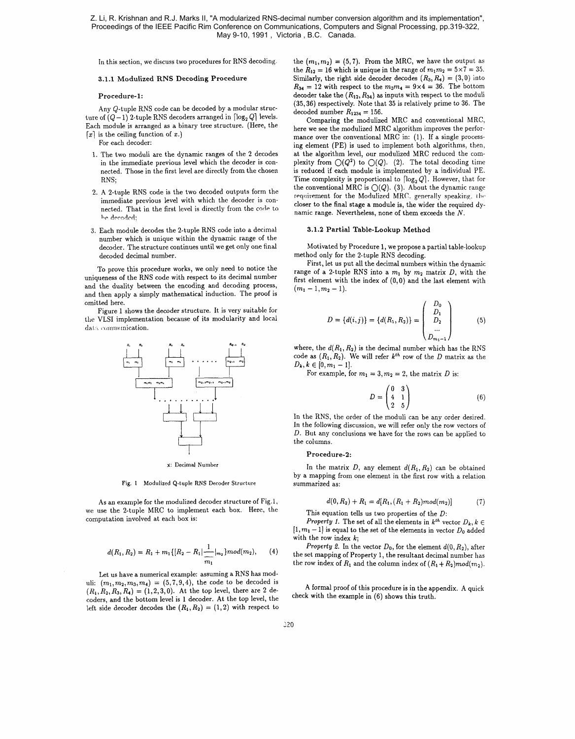In this section, we discuss two procedures for RNS decoding.

#### 3.1.1 Modulized RNS Decoding Procedure

#### Procedure-1:

Any Q-tuple RNS code can be decoded by a modular structure of  $(Q-1)$  2-tuple RNS decoders arranged in  $\lceil \log_2 Q \rceil$  levels. Each module is arranged as a binary tree structure. (Here, the  $[x]$  is the ceiling function of x.)

For each decoder:

- 1. The two moduli are the dynamic ranges of the 2 decodes in the immediate previous level which the decoder is connected. Those in the first level are directly from the chosen RNS;
- 2. A 2-tuple RNS code is the two decoded outputs form the immediate previous level with which the decoder is connected. That in the first level is directly from the code to he decoded:
- **3.** Each module decodes the 2-tuple RNS code into a decimal number which is unique within the dynamic range of the decoder. The structure continues until we get only one final decoded decimal number.

To prove this procedure works, we only need to notice the uniqueness of the RNS code with respect to its decimal number and the duality between the encoding and decoding process, and then apply a simply mathematical induction. The proof is omitted here.

Figure 1 shows the decoder structure. It is very suitable for the VLSI implementation because of its modularity and local data communication.



 $x:$  **Decimal Number** 

**Fig.** 1 **Modulized Q-tuple RNS Decoder Structure** 

As an example for the modulized decoder structure of Fig.1, we use the 2-tuple MRC to implement each box. Here, the computation involved at each box is:

$$
d(R_1, R_2) = R_1 + m_1 \{ [R_2 - R_1] \frac{1}{m_1} |_{m_2} \} mod(m_2), \qquad (4)
$$

Let us have a numerical example: assuming a RNS has moduli:  $(m_1, m_2, m_3, m_4) = (5, 7, 9, 4)$ , the code to be decoded is  $(R_1, R_2, R_3, R_4) = (1, 2, 3, 0)$ . At the top level, there are 2 decoders, and the bottom level is 1 decoder. At the top level, the left side decoder decodes the  $(R_1, R_2) = (1, 2)$  with respect to

the  $(m_1, m_2) = (5, 7)$ . From the MRC, we have the output as the  $R_{12} = 16$  which is unique in the range of  $m_1m_2 = 5 \times 7 = 35$ . Similarly, the right side decoder decodes  $(R_3, R_4) = (3,0)$  into  $R_{34} = 12$  with respect to the  $m_3m_4 = 9 \times 4 = 36$ . The bottom decoder take the  $(R_{12}, R_{34})$  as inputs with respect to the moduli (35,36) respectively. Note that 35 is relatively prime to 36. The decoded number  $R_{1234} = 156$ .

Comparing the modulized MRC and conventional MRC, here we see the modulized MRC algorithm improves the performance over the conventional MRC in: (1). If a single processing element (PE) is used to implement both algorithms, then, at the algorithm level, our modulized MRC reduced the complexity from  $O(Q^2)$  to  $O(Q)$ . (2). The total decoding time is reduced if each module is implemented by a individual PE. Time complexity is proportional to  $\lceil \log_2 Q \rceil$ . However, that for the conventional MRC is  $\bigcirc$ (Q). (3). About the dynamic range requirement for the Modulized MRC. generally speaking. the closer to the final stage a module is, the wider the required dynamic range. Nevertheless, none of them exceeds the N.

### **3.1.2 Partial** Table-Lookup **Method**

Motivated by Procedure 1, we propose a partial table-lookup method only for the 2-tuple RNS decoding.

First, let us put all the decimal numbers within the dynamic range of a 2-tuple RNS into a  $m_1$  by  $m_2$  matrix D, with the first element with the index of (0,O) and the last element with  $(m_1 - 1, m_2 - 1).$ 

$$
D = \{d(i,j)\} = \{d(R_1, R_2)\} = \begin{pmatrix} D_0 \\ D_1 \\ D_2 \\ \dots \\ D_{m_1-1} \end{pmatrix}
$$
 (5)

where, the  $d(R_1, R_2)$  is the decimal number which has the RNS code as  $(R_1, R_2)$ . We will refer  $k^{th}$  row of the D matrix as the  $D_k, k \in [0, m_1 - 1].$ 

For example, for  $m_1 = 3, m_2 = 2$ , the matrix D is:

$$
D = \begin{pmatrix} 0 & 3 \\ 4 & 1 \\ 2 & 5 \end{pmatrix} \tag{6}
$$

In the RNS, the order of the moduli can be any order desired. In the following discussion, we will refer only the row vectors of D. But any conclusions we have for the rows can be applied to the columns.

#### Procedure-2:

In the matrix D, any element  $d(R_1, R_2)$  can be obtained by a mapping from one element in the first row with a relation summarized as:

$$
d(0, R_2) + R_1 = d[R_1, (R_1 + R_2) \mod (m_2)] \tag{7}
$$

This equation tells us two properties of the **D:** 

Property 1. The set of all the elements in  $k^{th}$  vector  $D_k, k \in$  $[1, m_1 - 1]$  is equal to the set of the elements in vector  $D_0$  added with the row index *k;* 

*Property 2.* In the vector  $D_0$ , for the element  $d(0, R_2)$ , after the set mapping of Property 1, the resultant decimal number has the row index of  $R_1$  and the column index of  $(R_1 + R_2) \text{mod}(m_2)$ .

**A** formal proof of this procedure is in the appendix. A quick check with the example in (6) shows this truth.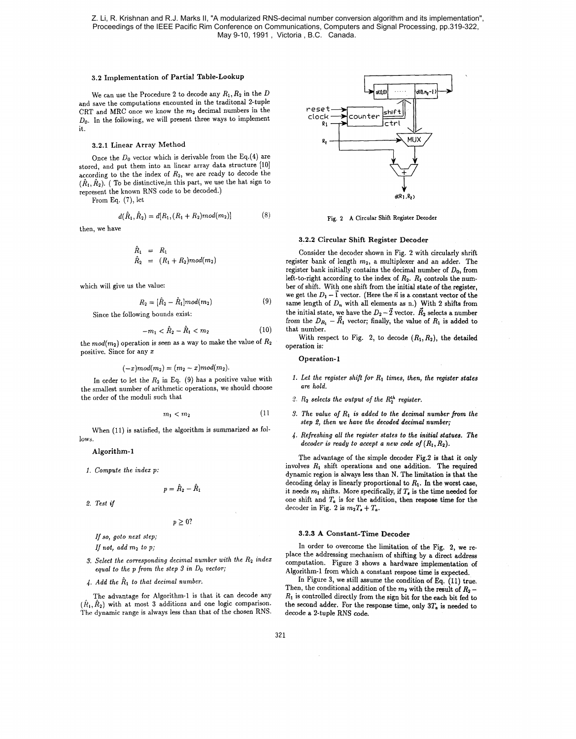# **3.2** Implementation of Partial Table-Lookup

We can use the Procedure 2 to decode any *R1,R2* in the *D*  and save the computations encounted in the traditonal 2-tuple CRT and MRC once we know the *rnz* decimal numbers in the **Do** In the following, we will present three ways to implement it.

#### **3.2.1** Linear Array Method

Once the **Do** vector which is derivable from the *Eq.(4)* are stored, and put them into an linear array data structure [10] according to the the index of *R2,* we are ready to decode the  $(\hat{R}_1, \hat{R}_2)$ . (To be distinctive, in this part, we use the hat sign to represent the known RNS code to be decoded.)

From *Eq.* **(7),** let

$$
d(\hat{R}_1, \hat{R}_2) = d[R_1, (R_1 + R_2) \text{mod}(m_2)] \tag{8}
$$

then, we have

$$
\hat{R}_1 = R_1
$$
  
\n
$$
\hat{R}_2 = (R_1 + R_2) \text{mod} (m_2)
$$

which will give us the value:

$$
R_2 = [\hat{R}_2 - \hat{R}_1] \mod (m_2)
$$
 (9)

Since the following bounds exist:<br> $m \leq \hat{R}_1 - \hat{R}_2$ 

$$
-m_1 < \hat{R}_2 - \hat{R}_1 < m_2 \tag{10}
$$

the  $mod(m_2)$  operation is seen as a way to make the value of  $R_2$ positive. Since for any *x* 

$$
(-x) mod(m_2) = (m_2 - x) mod(m_2).
$$

In order to let the *Rz* in Eq. (9) has a positive value with the smallest number of arithmetic operations, we should choose the order of the moduli such that

$$
m_1 < m_2 \tag{11}
$$

When (11) is satisfied, the algorithm is summarized as follows.

Algorithm-1

*1. Compute the index p:* 

$$
p=\hat{R}_2-\hat{R}_1
$$

*2. Test if* 

 $p\geq 0$ ?

*If so, goto next step;* 

The dynamic range is always less than that of the chosen RNS.



Fig. 2 A Circular Shift Register Decoder

# **3.2.2** Circular Shift Register Decoder

Consider the decoder shown in Fig. 2 with circularly shrift register bank of length  $m_2$ , a multiplexer and an adder. The register bank initially contains the decimal number of *Do,* from left-to-right according to the index of *Rz. R1* controls the number of shift. With one shift from the initial state of the register, we get the  $D_1 - \vec{1}$  vector. (Here the  $\vec{n}$  is a constant vector of the same length of  $D_n$  with all elements as n.) With 2 shifts from the initial state, we have the  $D_2 - \bar{2}$  vector.  $\vec{R}_2$  selects a number from the  $D_{R_1} - \vec{R}_1$  vector; finally, the value of  $R_1$  is added to that number.

With respect to Fig. 2, to decode  $(R_1, R_2)$ , the detailed operation is:

# Operation-]

- *1. Let the register shift for R1 times, then, the register states are hold.*
- *2. Rz selects the output of the Rkh register.*
- **3.** *The value of R1 is added to the decimal number from the step 2, then we have the decoded decimal number;*
- *4. Refreshing all the register states to the initial statues. The decoder is ready to accept a new code of*  $(R_1, R_2)$ .

The advantage of the simple decoder Fig.2 is that it only involves *R1* shift operations and one addition. The required dynamic region is always less than N. The limitation is that the decoding delay is linearly proportional to *R1.* In the worst case, it needs  $m_1$  shifts. More specifically, if  $T_s$  is the time needed for one shift and  $T_a$  is for the addition, then respose time for the decoder in Fig. 2 is  $m_2T_s + T_a$ .

# **3.2.3 A** Constant-Time Decoder

*If not, add m<sub>2</sub> to p;* **In order to overcome the limitation of the Fig. 2, we re**place the addressing mechanism of shifting by a direct address 9. Select the corresponding decimal number with the  $R_2$  index<br>examplementation. Figure 3 shows a hardware implementation of<br>Algorithm-1 from which a constant respose time is expected.

4. *Add the R1 to that decimal number.* In Figure 3, we still assume the condition of **Eq.** (11) true. Then, the conditional addition of the  $m_2$  with the result of  $R_2$ —<br>The advantage for Algorithm-1 is that it can decode any<br> $(\hat{R}_1, \hat{R}_2)$  with at most 3 additions and one logic comparison.<br>The dynamic range is always